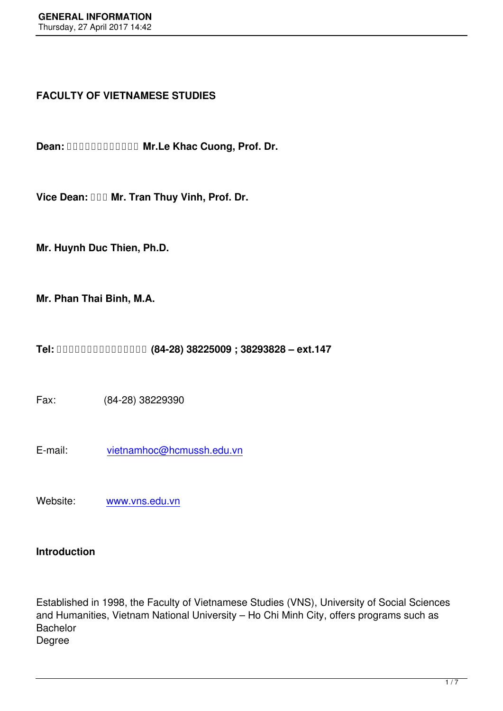# **FACULTY OF VIETNAMESE STUDIES**

**Dean: DUDUDUDUDUD Mr.Le Khac Cuong, Prof. Dr.** 

Vice Dean: **<b>DDD** Mr. Tran Thuy Vinh, Prof. Dr.

**Mr. Huynh Duc Thien, Ph.D.**

**Mr. Phan Thai Binh, M.A.**

**Tel: (84-28) 38225009 ; 38293828 – ext.147** 

Fax: (84-28) 38229390

E-mail: vietnamhoc@hcmussh.edu.vn

Website: [www.vns.edu.vn](mailto:vietnamhoc@hcmussh.edu.vn)

## **Introduction**

Established in 1998, the Faculty of Vietnamese Studies (VNS), University of Social Sciences and Humanities, Vietnam National University – Ho Chi Minh City, offers programs such as **Bachelor** Degree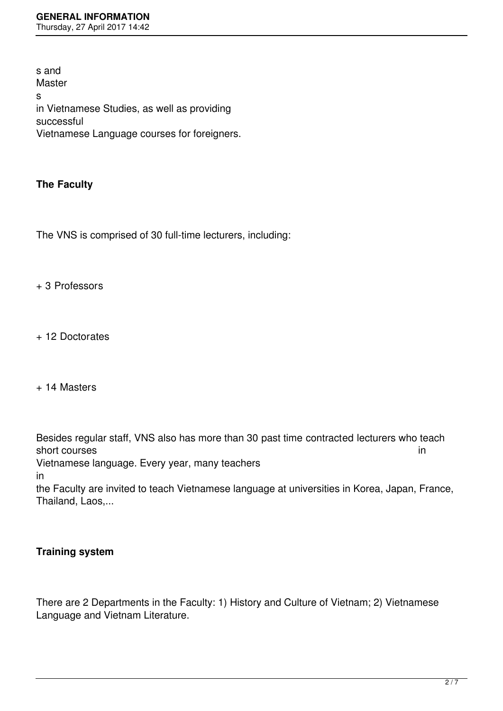s and **Master** s in Vietnamese Studies, as well as providing successful Vietnamese Language courses for foreigners.

# **The Faculty**

The VNS is comprised of 30 full-time lecturers, including:

+ 3 Professors

+ 12 Doctorates

+ 14 Masters

Besides regular staff, VNS also has more than 30 past time contracted lecturers who teach short courses in the state of the state of the state of the state of the state of the state of the state of the state of the state of the state of the state of the state of the state of the state of the state of the state Vietnamese language. Every year, many teachers

in

the Faculty are invited to teach Vietnamese language at universities in Korea, Japan, France, Thailand, Laos,...

# **Training system**

There are 2 Departments in the Faculty: 1) History and Culture of Vietnam; 2) Vietnamese Language and Vietnam Literature.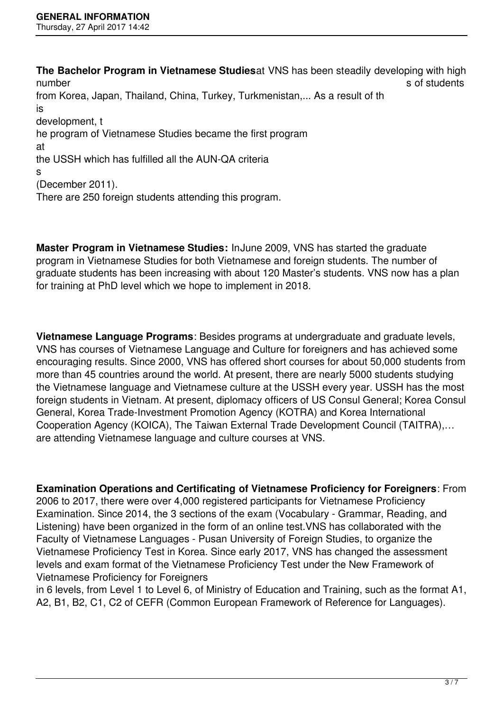**The Bachelor Program in Vietnamese Studies**at VNS has been steadily developing with high number som students and the set of students  $\sim$  sof students sof students from Korea, Japan, Thailand, China, Turkey, Turkmenistan,... As a result of th is development, t he program of Vietnamese Studies became the first program at the USSH which has fulfilled all the AUN-QA criteria s (December 2011). There are 250 foreign students attending this program.

**Master Program in Vietnamese Studies:** InJune 2009, VNS has started the graduate program in Vietnamese Studies for both Vietnamese and foreign students. The number of graduate students has been increasing with about 120 Master's students. VNS now has a plan for training at PhD level which we hope to implement in 2018.

**Vietnamese Language Programs**: Besides programs at undergraduate and graduate levels, VNS has courses of Vietnamese Language and Culture for foreigners and has achieved some encouraging results. Since 2000, VNS has offered short courses for about 50,000 students from more than 45 countries around the world. At present, there are nearly 5000 students studying the Vietnamese language and Vietnamese culture at the USSH every year. USSH has the most foreign students in Vietnam. At present, diplomacy officers of US Consul General; Korea Consul General, Korea Trade-Investment Promotion Agency (KOTRA) and Korea International Cooperation Agency (KOICA), The Taiwan External Trade Development Council (TAITRA),… are attending Vietnamese language and culture courses at VNS.

**Examination Operations and Certificating of Vietnamese Proficiency for Foreigners**: From 2006 to 2017, there were over 4,000 registered participants for Vietnamese Proficiency Examination. Since 2014, the 3 sections of the exam (Vocabulary - Grammar, Reading, and Listening) have been organized in the form of an online test.VNS has collaborated with the Faculty of Vietnamese Languages - Pusan University of Foreign Studies, to organize the Vietnamese Proficiency Test in Korea. Since early 2017, VNS has changed the assessment levels and exam format of the Vietnamese Proficiency Test under the New Framework of Vietnamese Proficiency for Foreigners

in 6 levels, from Level 1 to Level 6, of Ministry of Education and Training, such as the format A1, A2, B1, B2, C1, C2 of CEFR (Common European Framework of Reference for Languages).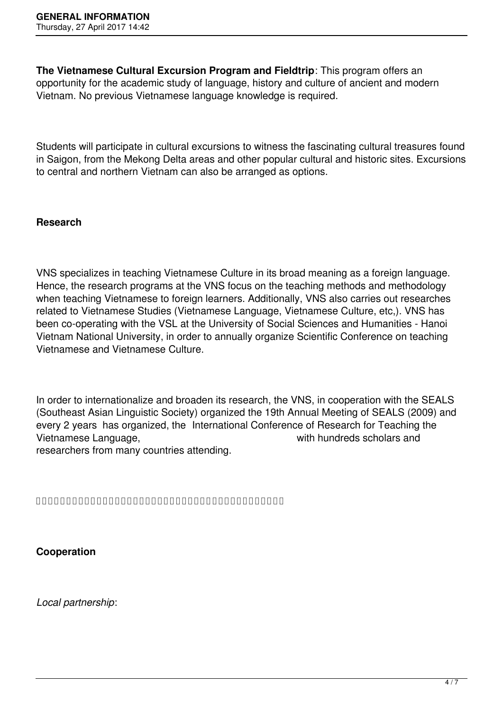**The Vietnamese Cultural Excursion Program and Fieldtrip**: This program offers an opportunity for the academic study of language, history and culture of ancient and modern Vietnam. No previous Vietnamese language knowledge is required.

Students will participate in cultural excursions to witness the fascinating cultural treasures found in Saigon, from the Mekong Delta areas and other popular cultural and historic sites. Excursions to central and northern Vietnam can also be arranged as options.

## **Research**

VNS specializes in teaching Vietnamese Culture in its broad meaning as a foreign language. Hence, the research programs at the VNS focus on the teaching methods and methodology when teaching Vietnamese to foreign learners. Additionally, VNS also carries out researches related to Vietnamese Studies (Vietnamese Language, Vietnamese Culture, etc,). VNS has been co-operating with the VSL at the University of Social Sciences and Humanities - Hanoi Vietnam National University, in order to annually organize Scientific Conference on teaching Vietnamese and Vietnamese Culture.

In order to internationalize and broaden its research, the VNS, in cooperation with the SEALS (Southeast Asian Linguistic Society) organized the 19th Annual Meeting of SEALS (2009) and every 2 years has organized, the International Conference of Research for Teaching the Vietnamese Language, with hundreds scholars and researchers from many countries attending.

**Cooperation**

*Local partnership*: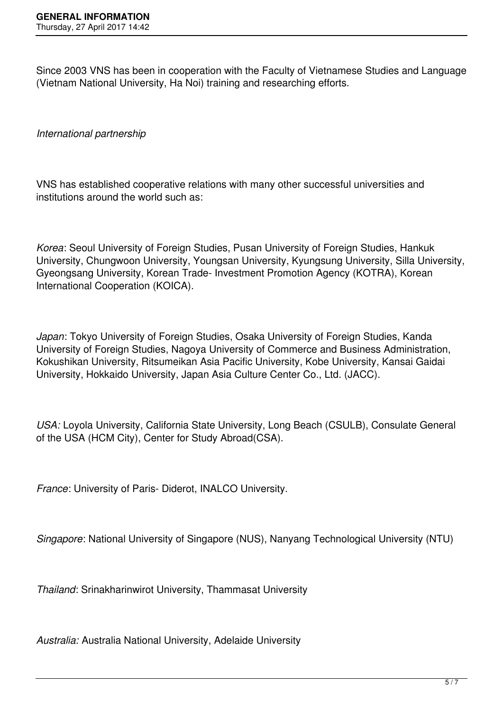Since 2003 VNS has been in cooperation with the Faculty of Vietnamese Studies and Language (Vietnam National University, Ha Noi) training and researching efforts.

*International partnership*

VNS has established cooperative relations with many other successful universities and institutions around the world such as:

*Korea*: Seoul University of Foreign Studies, Pusan University of Foreign Studies, Hankuk University, Chungwoon University, Youngsan University, Kyungsung University, Silla University, Gyeongsang University, Korean Trade- Investment Promotion Agency (KOTRA), Korean International Cooperation (KOICA).

*Japan*: Tokyo University of Foreign Studies, Osaka University of Foreign Studies, Kanda University of Foreign Studies, Nagoya University of Commerce and Business Administration, Kokushikan University, Ritsumeikan Asia Pacific University, Kobe University, Kansai Gaidai University, Hokkaido University, Japan Asia Culture Center Co., Ltd. (JACC).

*USA:* Loyola University, California State University, Long Beach (CSULB), Consulate General of the USA (HCM City), Center for Study Abroad(CSA).

*France*: University of Paris- Diderot, INALCO University.

*Singapore*: National University of Singapore (NUS), Nanyang Technological University (NTU)

*Thailand*: Srinakharinwirot University, Thammasat University

*Australia:* Australia National University, Adelaide University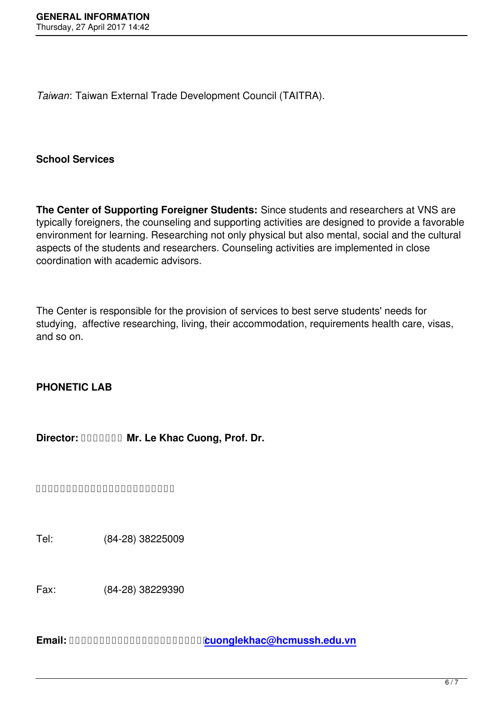*Taiwan*: Taiwan External Trade Development Council (TAITRA).

# **School Services**

**The Center of Supporting Foreigner Students:** Since students and researchers at VNS are typically foreigners, the counseling and supporting activities are designed to provide a favorable environment for learning. Researching not only physical but also mental, social and the cultural aspects of the students and researchers. Counseling activities are implemented in close coordination with academic advisors.

The Center is responsible for the provision of services to best serve students' needs for studying, affective researching, living, their accommodation, requirements health care, visas, and so on.

# **PHONETIC LAB**

**Director: Mr. Le Khac Cuong, Prof. Dr.**

Tel: (84-28) 38225009

Fax: (84-28) 38229390

**Email: cuonglekhac@hcmussh.edu.vn**